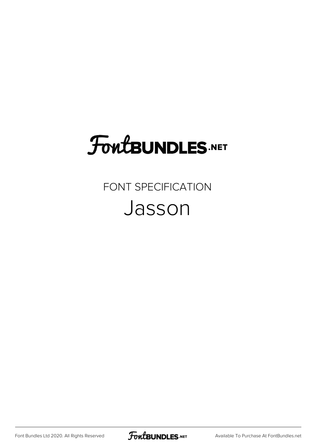# **FoutBUNDLES.NET**

### FONT SPECIFICATION Jasson

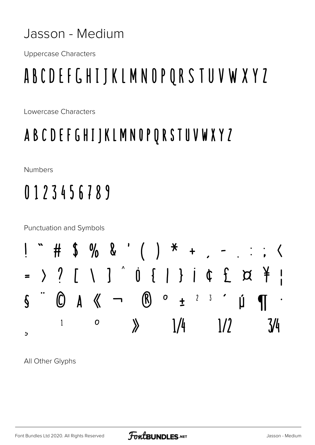#### Jasson - Medium

**Uppercase Characters** 

## ABCDEFGHIJKLMNOPQRSTUVWXYZ

Lowercase Characters

#### ABCDEFGHIJKLMNOPQRSTUVWXYZ

**Numbers** 

## 0123456789



All Other Glyphs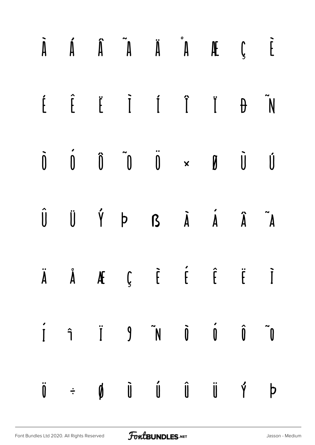|  |  | $\begin{array}{ccccccccccccccccc} \hat{A} & \hat{A} & \hat{A} & \hat{A} & \hat{A} & \hat{A} & \hat{A} & \hat{A} & \hat{B} & \hat{C} & \hat{C} & \hat{C} & \hat{C} & \hat{C} & \hat{C} & \hat{C} & \hat{C} & \hat{C} & \hat{C} & \hat{C} & \hat{C} & \hat{C} & \hat{C} & \hat{C} & \hat{C} & \hat{C} & \hat{C} & \hat{C} & \hat{C} & \hat{C} & \hat{C} & \hat{C} & \hat{C} & \hat{C} & \hat{C}$ |  |  |
|--|--|------------------------------------------------------------------------------------------------------------------------------------------------------------------------------------------------------------------------------------------------------------------------------------------------------------------------------------------------------------------------------------------------|--|--|
|  |  | $\begin{array}{ccccccccccccc} \hat{L} & \hat{L} & \hat{L} & \hat{I} & \hat{I} & \hat{I} & \hat{I} & \hat{I} & \hat{I} & \hat{I} & \end{array}$                                                                                                                                                                                                                                                 |  |  |
|  |  | $\begin{array}{ccccccccccccc} \hat{0} & \hat{0} & \hat{0} & \hat{0} & \hat{0} & \times & \emptyset & \hat{0} & \hat{0} & \end{array}$                                                                                                                                                                                                                                                          |  |  |
|  |  | $\begin{matrix}\n\hat{\mathsf{U}} & \hat{\mathsf{U}} & \hat{\mathsf{Y}} & \mathsf{D} & \mathsf{B} & \hat{\mathsf{A}} & \hat{\mathsf{A}} & \hat{\mathsf{A}} & \hat{\mathsf{A}} & \hat{\mathsf{A}} & \hat{\mathsf{A}}\n\end{matrix}$                                                                                                                                                             |  |  |
|  |  | $\ddot{A}$ $\ddot{A}$ $\ddot{A}$ $\ddot{A}$ $\ddot{C}$ $\ddot{C}$ $\ddot{C}$ $\ddot{C}$ $\ddot{C}$ $\ddot{C}$ $\ddot{C}$                                                                                                                                                                                                                                                                       |  |  |
|  |  |                                                                                                                                                                                                                                                                                                                                                                                                |  |  |
|  |  | $\ddot{\mathbf{0}} \quad \div \quad \mathbf{0} \qquad \ddot{\mathbf{0}} \qquad \dot{\mathbf{0}} \qquad \mathbf{0} \qquad \mathbf{0} \qquad \ddot{\mathbf{0}} \qquad \mathbf{0} \qquad \mathbf{0}$                                                                                                                                                                                              |  |  |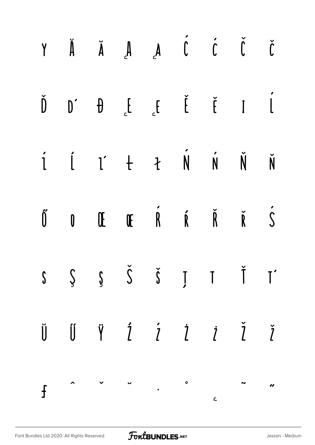| $\check{J}$ $\check{J}$ $\check{J}$ $\check{A}$ $\check{A}$ $\check{A}$ $\check{A}$ $\check{A}$ $\check{I}$                                                                                                                                                                                                                                                                                                                                                                             |  |  |  |  |
|-----------------------------------------------------------------------------------------------------------------------------------------------------------------------------------------------------------------------------------------------------------------------------------------------------------------------------------------------------------------------------------------------------------------------------------------------------------------------------------------|--|--|--|--|
| $\begin{array}{ccccccccccccc}\n\check{D} & & \check{D} & & \check{D} & & \check{E} & & \check{E} & & \check{E} & & \check{I} & & \check{I}\n\end{array}$                                                                                                                                                                                                                                                                                                                                |  |  |  |  |
| I I I + + N N N N                                                                                                                                                                                                                                                                                                                                                                                                                                                                       |  |  |  |  |
| $\tilde{0}$ $0$ $\tilde{u}$ $\tilde{R}$ $\tilde{R}$ $\tilde{R}$ $\tilde{S}$                                                                                                                                                                                                                                                                                                                                                                                                             |  |  |  |  |
| $S \quad S \quad S \quad \check{S} \quad \check{S} \quad J \quad T \quad \check{T} \quad T'$                                                                                                                                                                                                                                                                                                                                                                                            |  |  |  |  |
| $\begin{array}{ccccccccccccc}\n\bar{\mathbf{U}} & \mathbf{U} & \mathbf{\ddot{Y}} & \mathbf{\dot{Z}} & \mathbf{\dot{Z}} & \mathbf{\dot{Z}} & \mathbf{\dot{Z}} & \mathbf{\dot{Z}} & \mathbf{\dot{Z}} & \mathbf{\dot{Z}} & \mathbf{\dot{Z}} & \mathbf{\dot{Z}} & \mathbf{\dot{Z}} & \mathbf{\dot{Z}} & \mathbf{\dot{Z}} & \mathbf{\dot{Z}} & \mathbf{\dot{Z}} & \mathbf{\dot{Z}} & \mathbf{\dot{Z}} & \mathbf{\dot{Z}} & \mathbf{\dot{Z}} & \mathbf{\dot{Z}} & \mathbf{\dot{Z}} & \mathbf$ |  |  |  |  |
|                                                                                                                                                                                                                                                                                                                                                                                                                                                                                         |  |  |  |  |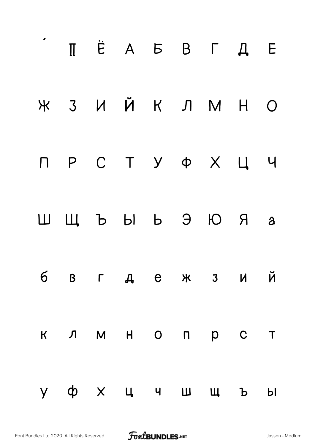|              | $\Pi \quad \dot{E} \quad A \quad B \quad B \quad T \quad A \quad E$ |                                                                                                                      |  |  |  |
|--------------|---------------------------------------------------------------------|----------------------------------------------------------------------------------------------------------------------|--|--|--|
|              | Ж 3 И Й К Л М Н О                                                   |                                                                                                                      |  |  |  |
|              |                                                                     |                                                                                                                      |  |  |  |
|              | ШЩЪЫЬЭЮЯ а                                                          |                                                                                                                      |  |  |  |
| $6 -$        |                                                                     | <b>B</b> $\Gamma$ <b>A</b> e $\forall$ 3 M $\breve{M}$                                                               |  |  |  |
|              | K J M H O N P C T                                                   |                                                                                                                      |  |  |  |
| $\mathsf{y}$ |                                                                     | $\begin{array}{ccccccccccccccccccccc} \varphi & \times & \psi & \psi & \psi & \psi & \psi & \psi & \psi \end{array}$ |  |  |  |